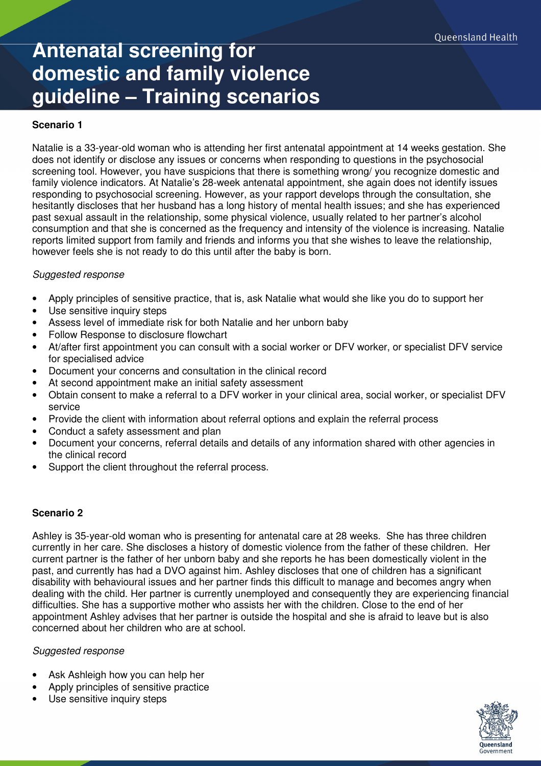# **Antenatal screening for domestic and family violence guideline – Training scenarios**

## **Scenario 1**

Natalie is a 33-year-old woman who is attending her first antenatal appointment at 14 weeks gestation. She does not identify or disclose any issues or concerns when responding to questions in the psychosocial screening tool. However, you have suspicions that there is something wrong/ you recognize domestic and family violence indicators. At Natalie's 28-week antenatal appointment, she again does not identify issues responding to psychosocial screening. However, as your rapport develops through the consultation, she hesitantly discloses that her husband has a long history of mental health issues; and she has experienced past sexual assault in the relationship, some physical violence, usually related to her partner's alcohol consumption and that she is concerned as the frequency and intensity of the violence is increasing. Natalie reports limited support from family and friends and informs you that she wishes to leave the relationship, however feels she is not ready to do this until after the baby is born.

## Suggested response

- Apply principles of sensitive practice, that is, ask Natalie what would she like you do to support her
- Use sensitive inquiry steps
- Assess level of immediate risk for both Natalie and her unborn baby
- Follow Response to disclosure flowchart
- At/after first appointment you can consult with a social worker or DFV worker, or specialist DFV service for specialised advice
- Document your concerns and consultation in the clinical record
- At second appointment make an initial safety assessment
- Obtain consent to make a referral to a DFV worker in your clinical area, social worker, or specialist DFV service
- Provide the client with information about referral options and explain the referral process
- Conduct a safety assessment and plan
- Document your concerns, referral details and details of any information shared with other agencies in the clinical record
- Support the client throughout the referral process.

## **Scenario 2**

Ashley is 35-year-old woman who is presenting for antenatal care at 28 weeks. She has three children currently in her care. She discloses a history of domestic violence from the father of these children. Her current partner is the father of her unborn baby and she reports he has been domestically violent in the past, and currently has had a DVO against him. Ashley discloses that one of children has a significant disability with behavioural issues and her partner finds this difficult to manage and becomes angry when dealing with the child. Her partner is currently unemployed and consequently they are experiencing financial difficulties. She has a supportive mother who assists her with the children. Close to the end of her appointment Ashley advises that her partner is outside the hospital and she is afraid to leave but is also concerned about her children who are at school.

### Suggested response

- Ask Ashleigh how you can help her
- Apply principles of sensitive practice
- Use sensitive inquiry steps